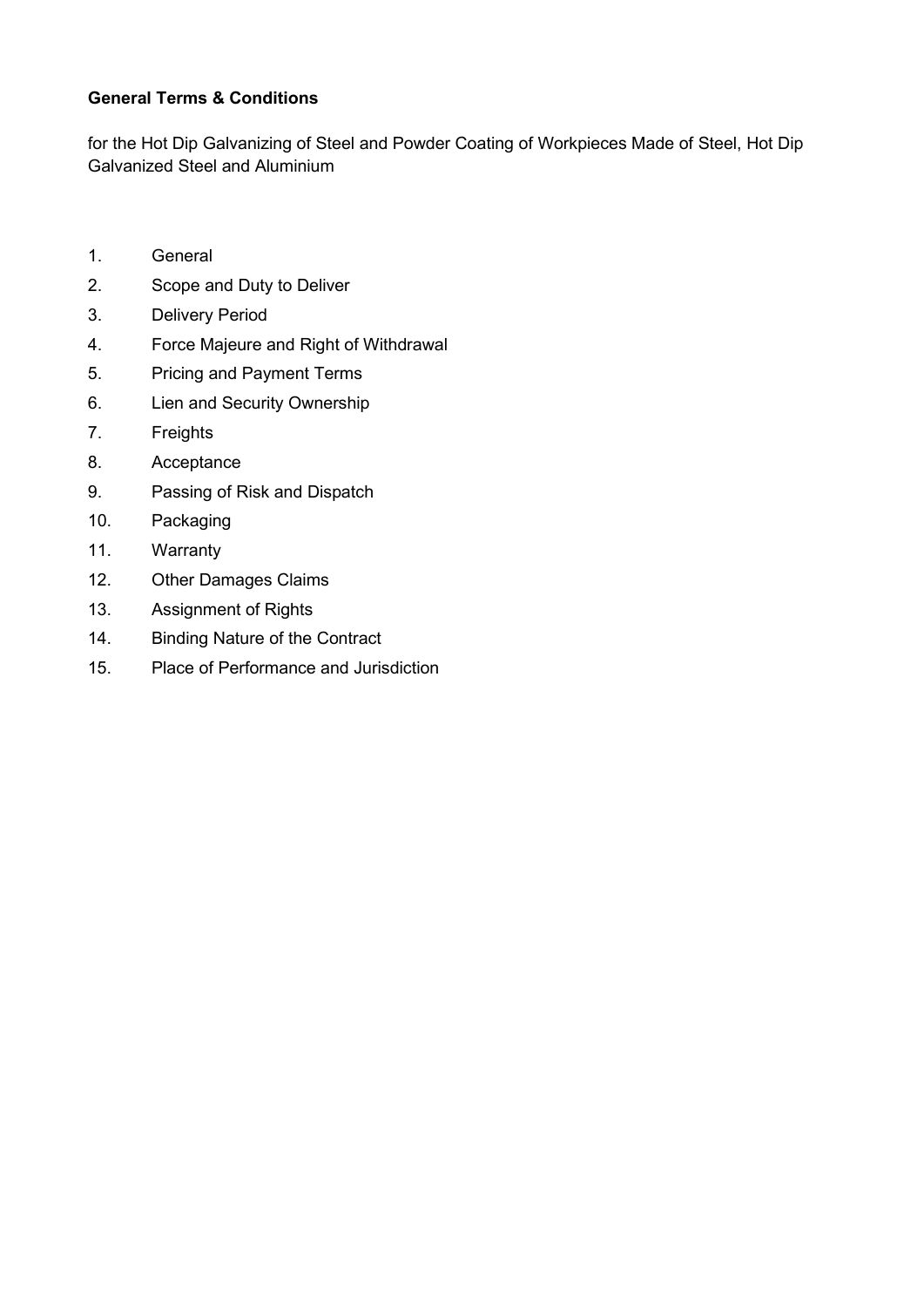# **General Terms & Conditions**

for the Hot Dip Galvanizing of Steel and Powder Coating of Workpieces Made of Steel, Hot Dip Galvanized Steel and Aluminium

- 1. General
- 2. Scope and Duty to Deliver
- 3. Delivery Period
- 4. Force Majeure and Right of Withdrawal
- 5. Pricing and Payment Terms
- 6. Lien and Security Ownership
- 7. Freights
- 8. Acceptance
- 9. Passing of Risk and Dispatch
- 10. Packaging
- 11. Warranty
- 12. Other Damages Claims
- 13. Assignment of Rights
- 14. Binding Nature of the Contract
- 15. Place of Performance and Jurisdiction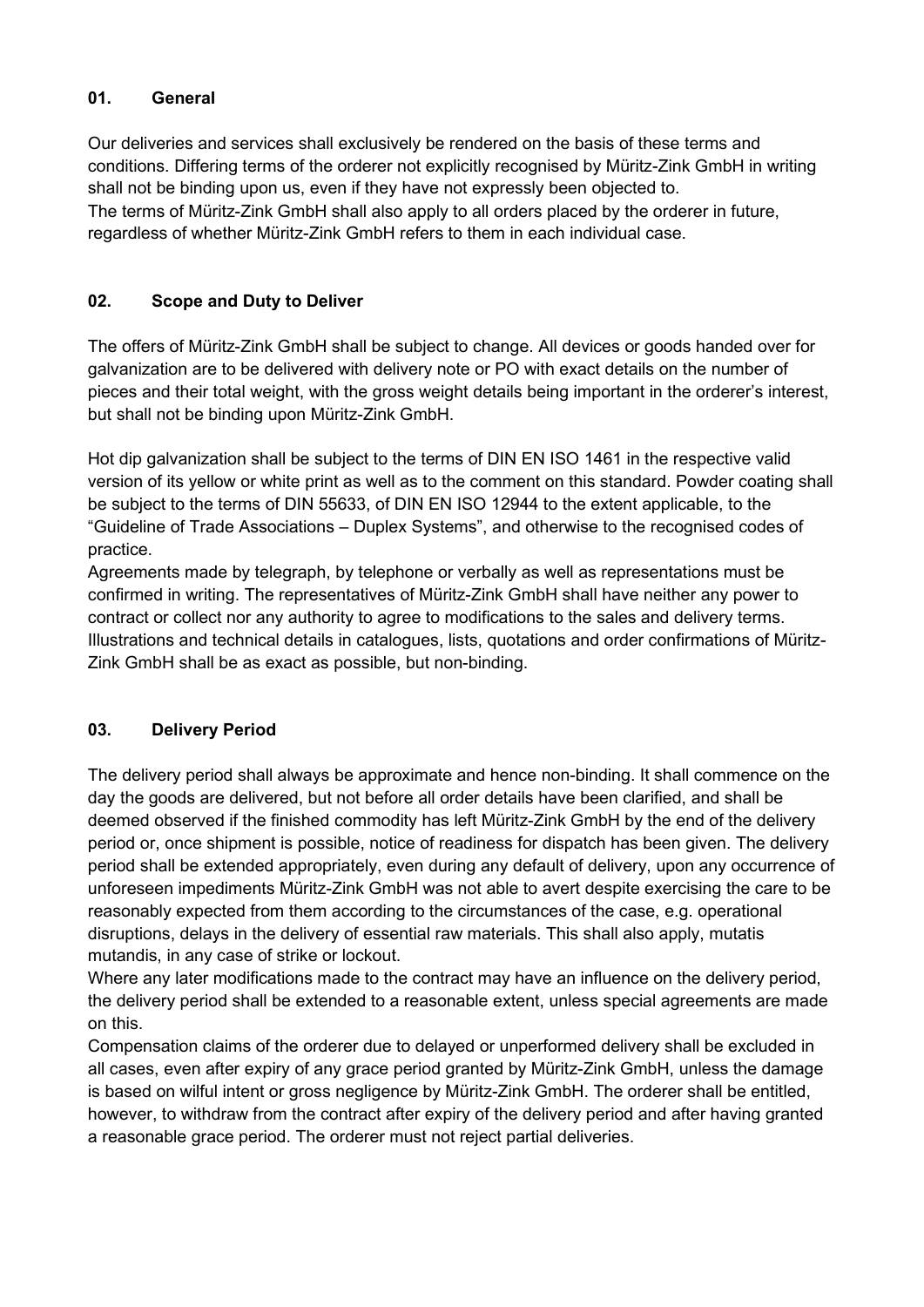## **01. General**

Our deliveries and services shall exclusively be rendered on the basis of these terms and conditions. Differing terms of the orderer not explicitly recognised by Müritz-Zink GmbH in writing shall not be binding upon us, even if they have not expressly been objected to. The terms of Müritz-Zink GmbH shall also apply to all orders placed by the orderer in future, regardless of whether Müritz-Zink GmbH refers to them in each individual case.

## **02. Scope and Duty to Deliver**

The offers of Müritz-Zink GmbH shall be subject to change. All devices or goods handed over for galvanization are to be delivered with delivery note or PO with exact details on the number of pieces and their total weight, with the gross weight details being important in the orderer's interest, but shall not be binding upon Müritz-Zink GmbH.

Hot dip galvanization shall be subject to the terms of DIN EN ISO 1461 in the respective valid version of its yellow or white print as well as to the comment on this standard. Powder coating shall be subject to the terms of DIN 55633, of DIN EN ISO 12944 to the extent applicable, to the "Guideline of Trade Associations – Duplex Systems", and otherwise to the recognised codes of practice.

Agreements made by telegraph, by telephone or verbally as well as representations must be confirmed in writing. The representatives of Müritz-Zink GmbH shall have neither any power to contract or collect nor any authority to agree to modifications to the sales and delivery terms. Illustrations and technical details in catalogues, lists, quotations and order confirmations of Müritz-Zink GmbH shall be as exact as possible, but non-binding.

# **03. Delivery Period**

The delivery period shall always be approximate and hence non-binding. It shall commence on the day the goods are delivered, but not before all order details have been clarified, and shall be deemed observed if the finished commodity has left Müritz-Zink GmbH by the end of the delivery period or, once shipment is possible, notice of readiness for dispatch has been given. The delivery period shall be extended appropriately, even during any default of delivery, upon any occurrence of unforeseen impediments Müritz-Zink GmbH was not able to avert despite exercising the care to be reasonably expected from them according to the circumstances of the case, e.g. operational disruptions, delays in the delivery of essential raw materials. This shall also apply, mutatis mutandis, in any case of strike or lockout.

Where any later modifications made to the contract may have an influence on the delivery period, the delivery period shall be extended to a reasonable extent, unless special agreements are made on this.

Compensation claims of the orderer due to delayed or unperformed delivery shall be excluded in all cases, even after expiry of any grace period granted by Müritz-Zink GmbH, unless the damage is based on wilful intent or gross negligence by Müritz-Zink GmbH. The orderer shall be entitled, however, to withdraw from the contract after expiry of the delivery period and after having granted a reasonable grace period. The orderer must not reject partial deliveries.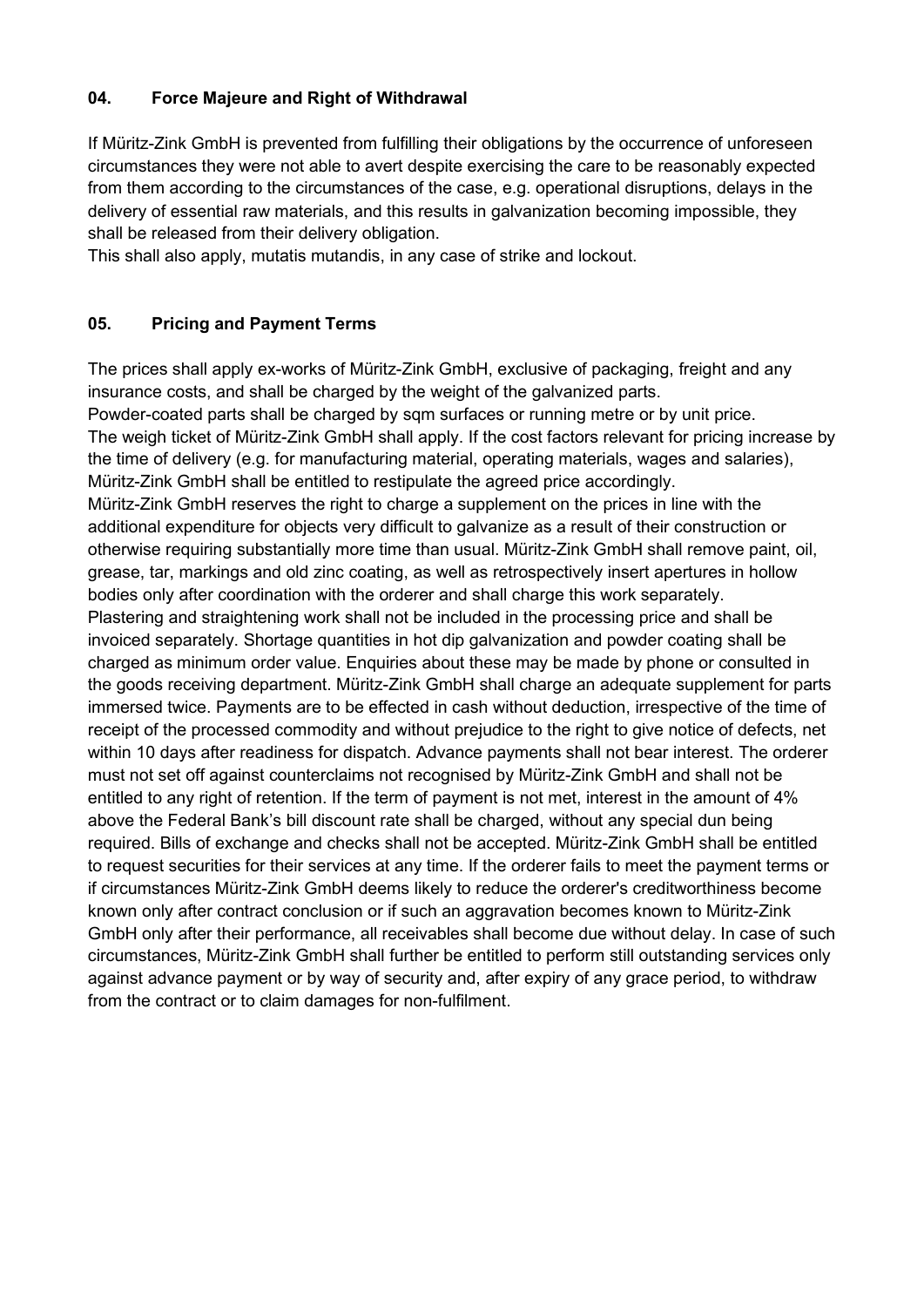### **04. Force Majeure and Right of Withdrawal**

If Müritz-Zink GmbH is prevented from fulfilling their obligations by the occurrence of unforeseen circumstances they were not able to avert despite exercising the care to be reasonably expected from them according to the circumstances of the case, e.g. operational disruptions, delays in the delivery of essential raw materials, and this results in galvanization becoming impossible, they shall be released from their delivery obligation.

This shall also apply, mutatis mutandis, in any case of strike and lockout.

## **05. Pricing and Payment Terms**

The prices shall apply ex-works of Müritz-Zink GmbH, exclusive of packaging, freight and any insurance costs, and shall be charged by the weight of the galvanized parts.

Powder-coated parts shall be charged by sqm surfaces or running metre or by unit price. The weigh ticket of Müritz-Zink GmbH shall apply. If the cost factors relevant for pricing increase by the time of delivery (e.g. for manufacturing material, operating materials, wages and salaries), Müritz-Zink GmbH shall be entitled to restipulate the agreed price accordingly. Müritz-Zink GmbH reserves the right to charge a supplement on the prices in line with the additional expenditure for objects very difficult to galvanize as a result of their construction or otherwise requiring substantially more time than usual. Müritz-Zink GmbH shall remove paint, oil, grease, tar, markings and old zinc coating, as well as retrospectively insert apertures in hollow bodies only after coordination with the orderer and shall charge this work separately. Plastering and straightening work shall not be included in the processing price and shall be invoiced separately. Shortage quantities in hot dip galvanization and powder coating shall be charged as minimum order value. Enquiries about these may be made by phone or consulted in the goods receiving department. Müritz-Zink GmbH shall charge an adequate supplement for parts immersed twice. Payments are to be effected in cash without deduction, irrespective of the time of receipt of the processed commodity and without prejudice to the right to give notice of defects, net within 10 days after readiness for dispatch. Advance payments shall not bear interest. The orderer must not set off against counterclaims not recognised by Müritz-Zink GmbH and shall not be entitled to any right of retention. If the term of payment is not met, interest in the amount of 4% above the Federal Bank's bill discount rate shall be charged, without any special dun being required. Bills of exchange and checks shall not be accepted. Müritz-Zink GmbH shall be entitled to request securities for their services at any time. If the orderer fails to meet the payment terms or if circumstances Müritz-Zink GmbH deems likely to reduce the orderer's creditworthiness become known only after contract conclusion or if such an aggravation becomes known to Müritz-Zink GmbH only after their performance, all receivables shall become due without delay. In case of such circumstances, Müritz-Zink GmbH shall further be entitled to perform still outstanding services only against advance payment or by way of security and, after expiry of any grace period, to withdraw from the contract or to claim damages for non-fulfilment.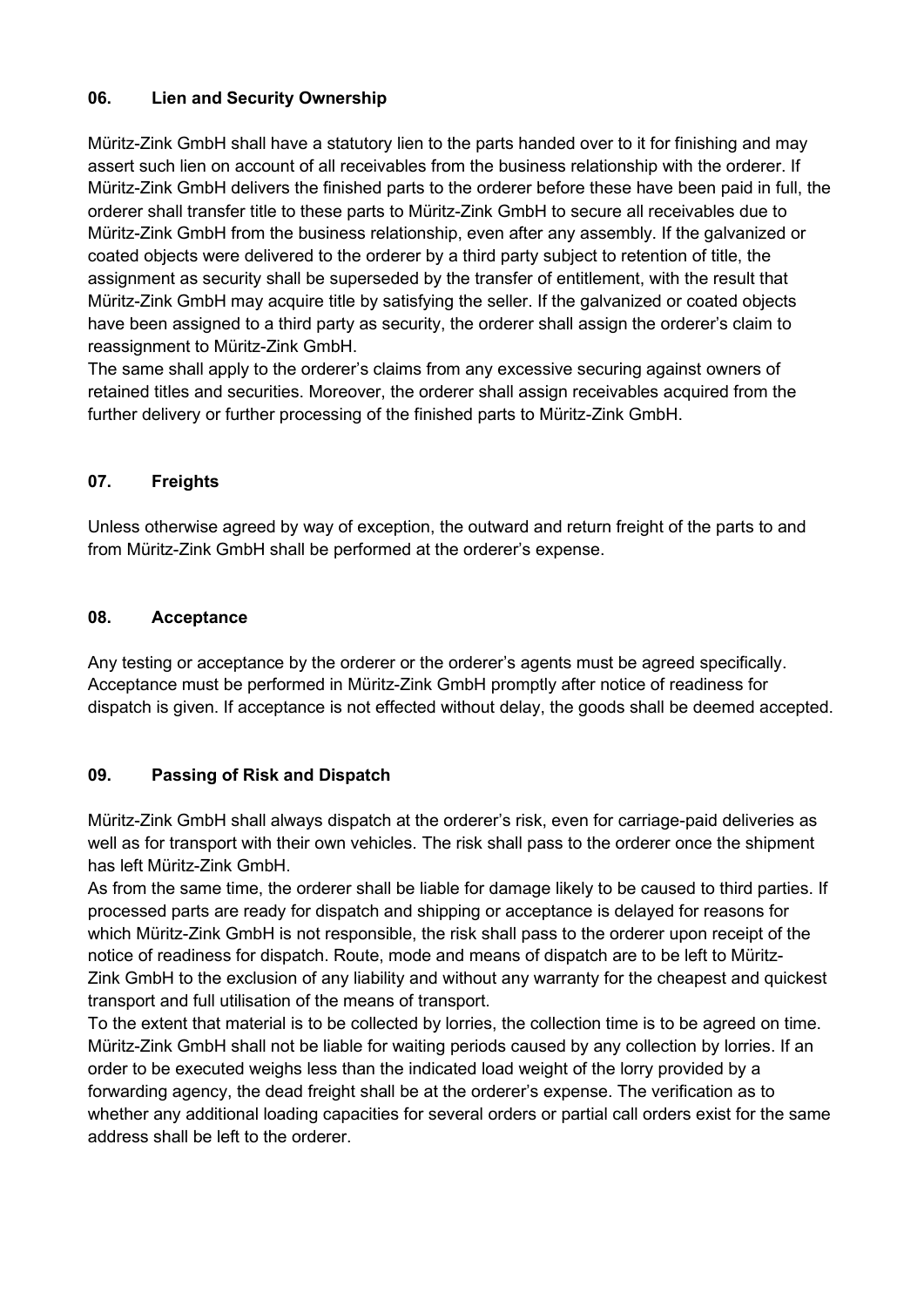## **06. Lien and Security Ownership**

Müritz-Zink GmbH shall have a statutory lien to the parts handed over to it for finishing and may assert such lien on account of all receivables from the business relationship with the orderer. If Müritz-Zink GmbH delivers the finished parts to the orderer before these have been paid in full, the orderer shall transfer title to these parts to Müritz-Zink GmbH to secure all receivables due to Müritz-Zink GmbH from the business relationship, even after any assembly. If the galvanized or coated objects were delivered to the orderer by a third party subject to retention of title, the assignment as security shall be superseded by the transfer of entitlement, with the result that Müritz-Zink GmbH may acquire title by satisfying the seller. If the galvanized or coated objects have been assigned to a third party as security, the orderer shall assign the orderer's claim to reassignment to Müritz-Zink GmbH.

The same shall apply to the orderer's claims from any excessive securing against owners of retained titles and securities. Moreover, the orderer shall assign receivables acquired from the further delivery or further processing of the finished parts to Müritz-Zink GmbH.

### **07. Freights**

Unless otherwise agreed by way of exception, the outward and return freight of the parts to and from Müritz-Zink GmbH shall be performed at the orderer's expense.

#### **08. Acceptance**

Any testing or acceptance by the orderer or the orderer's agents must be agreed specifically. Acceptance must be performed in Müritz-Zink GmbH promptly after notice of readiness for dispatch is given. If acceptance is not effected without delay, the goods shall be deemed accepted.

### **09. Passing of Risk and Dispatch**

Müritz-Zink GmbH shall always dispatch at the orderer's risk, even for carriage-paid deliveries as well as for transport with their own vehicles. The risk shall pass to the orderer once the shipment has left Müritz-Zink GmbH.

As from the same time, the orderer shall be liable for damage likely to be caused to third parties. If processed parts are ready for dispatch and shipping or acceptance is delayed for reasons for which Müritz-Zink GmbH is not responsible, the risk shall pass to the orderer upon receipt of the notice of readiness for dispatch. Route, mode and means of dispatch are to be left to Müritz-Zink GmbH to the exclusion of any liability and without any warranty for the cheapest and quickest transport and full utilisation of the means of transport.

To the extent that material is to be collected by lorries, the collection time is to be agreed on time. Müritz-Zink GmbH shall not be liable for waiting periods caused by any collection by lorries. If an order to be executed weighs less than the indicated load weight of the lorry provided by a forwarding agency, the dead freight shall be at the orderer's expense. The verification as to whether any additional loading capacities for several orders or partial call orders exist for the same address shall be left to the orderer.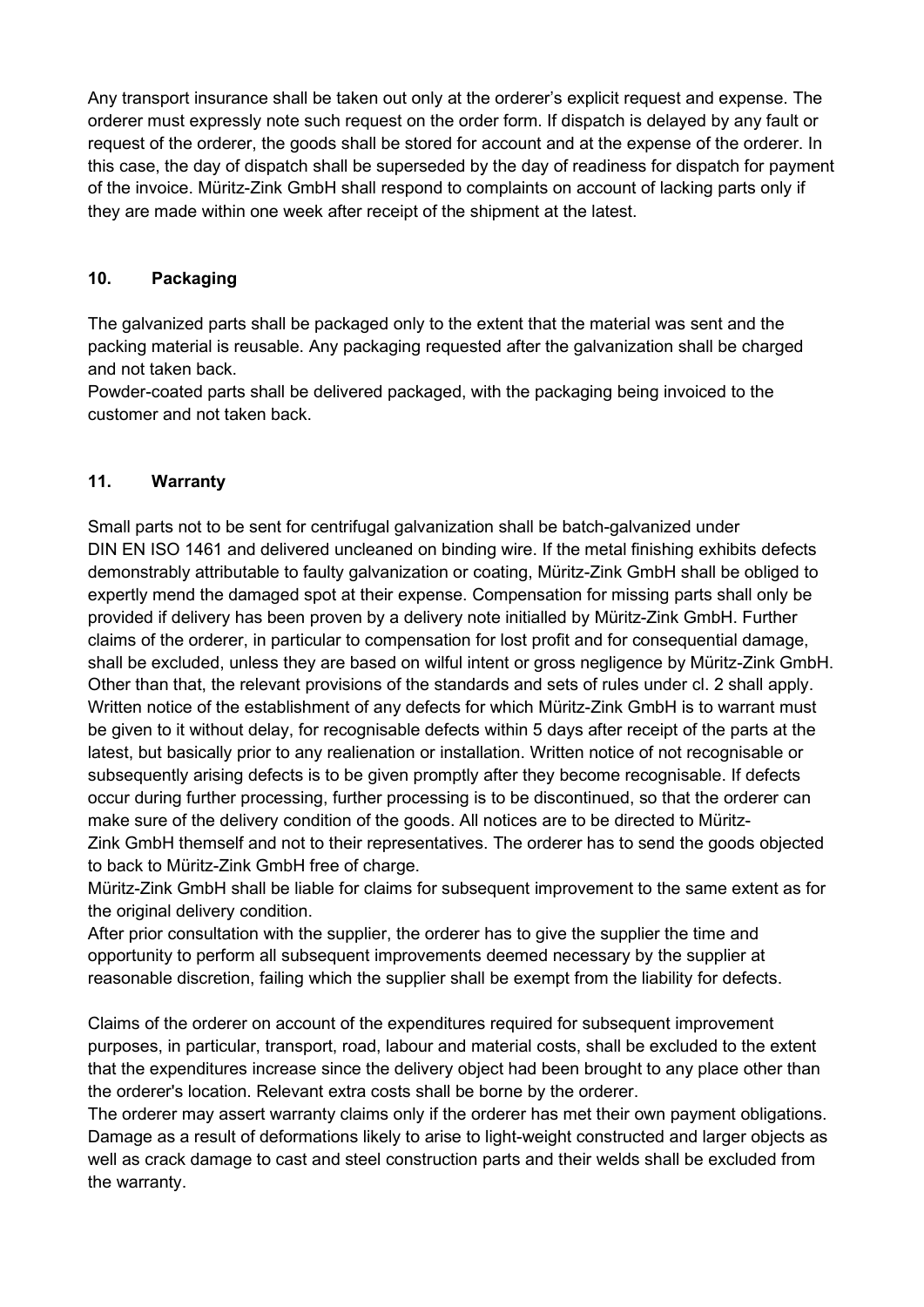Any transport insurance shall be taken out only at the orderer's explicit request and expense. The orderer must expressly note such request on the order form. If dispatch is delayed by any fault or request of the orderer, the goods shall be stored for account and at the expense of the orderer. In this case, the day of dispatch shall be superseded by the day of readiness for dispatch for payment of the invoice. Müritz-Zink GmbH shall respond to complaints on account of lacking parts only if they are made within one week after receipt of the shipment at the latest.

## **10. Packaging**

The galvanized parts shall be packaged only to the extent that the material was sent and the packing material is reusable. Any packaging requested after the galvanization shall be charged and not taken back.

Powder-coated parts shall be delivered packaged, with the packaging being invoiced to the customer and not taken back.

### **11. Warranty**

Small parts not to be sent for centrifugal galvanization shall be batch-galvanized under DIN EN ISO 1461 and delivered uncleaned on binding wire. If the metal finishing exhibits defects demonstrably attributable to faulty galvanization or coating, Müritz-Zink GmbH shall be obliged to expertly mend the damaged spot at their expense. Compensation for missing parts shall only be provided if delivery has been proven by a delivery note initialled by Müritz-Zink GmbH. Further claims of the orderer, in particular to compensation for lost profit and for consequential damage, shall be excluded, unless they are based on wilful intent or gross negligence by Müritz-Zink GmbH. Other than that, the relevant provisions of the standards and sets of rules under cl. 2 shall apply. Written notice of the establishment of any defects for which Müritz-Zink GmbH is to warrant must be given to it without delay, for recognisable defects within 5 days after receipt of the parts at the latest, but basically prior to any realienation or installation. Written notice of not recognisable or subsequently arising defects is to be given promptly after they become recognisable. If defects occur during further processing, further processing is to be discontinued, so that the orderer can make sure of the delivery condition of the goods. All notices are to be directed to Müritz-Zink GmbH themself and not to their representatives. The orderer has to send the goods objected to back to Müritz-Zink GmbH free of charge.

Müritz-Zink GmbH shall be liable for claims for subsequent improvement to the same extent as for the original delivery condition.

After prior consultation with the supplier, the orderer has to give the supplier the time and opportunity to perform all subsequent improvements deemed necessary by the supplier at reasonable discretion, failing which the supplier shall be exempt from the liability for defects.

Claims of the orderer on account of the expenditures required for subsequent improvement purposes, in particular, transport, road, labour and material costs, shall be excluded to the extent that the expenditures increase since the delivery object had been brought to any place other than the orderer's location. Relevant extra costs shall be borne by the orderer.

The orderer may assert warranty claims only if the orderer has met their own payment obligations. Damage as a result of deformations likely to arise to light-weight constructed and larger objects as well as crack damage to cast and steel construction parts and their welds shall be excluded from the warranty.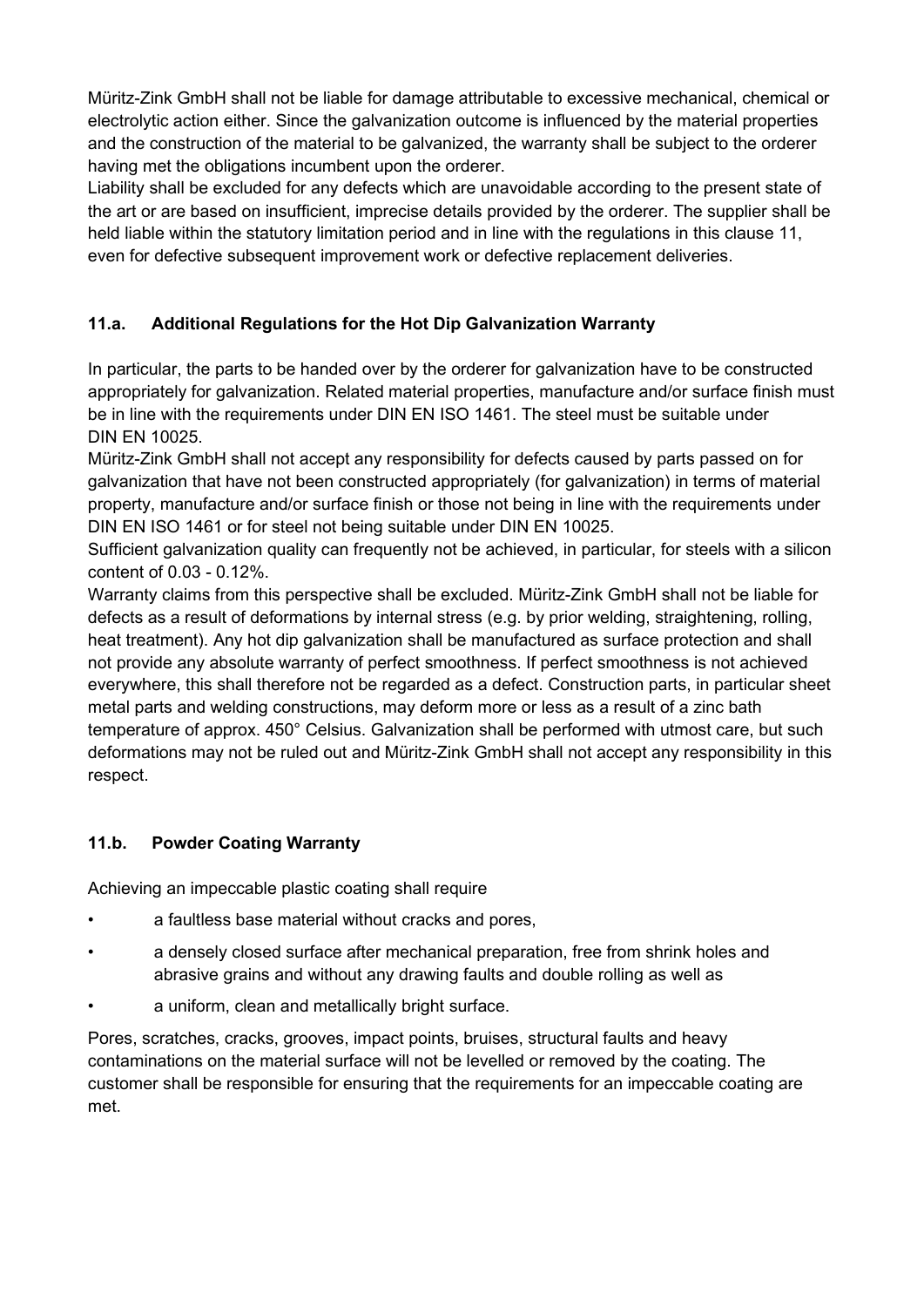Müritz-Zink GmbH shall not be liable for damage attributable to excessive mechanical, chemical or electrolytic action either. Since the galvanization outcome is influenced by the material properties and the construction of the material to be galvanized, the warranty shall be subject to the orderer having met the obligations incumbent upon the orderer.

Liability shall be excluded for any defects which are unavoidable according to the present state of the art or are based on insufficient, imprecise details provided by the orderer. The supplier shall be held liable within the statutory limitation period and in line with the regulations in this clause 11, even for defective subsequent improvement work or defective replacement deliveries.

# **11.a. Additional Regulations for the Hot Dip Galvanization Warranty**

In particular, the parts to be handed over by the orderer for galvanization have to be constructed appropriately for galvanization. Related material properties, manufacture and/or surface finish must be in line with the requirements under DIN EN ISO 1461. The steel must be suitable under DIN EN 10025.

Müritz-Zink GmbH shall not accept any responsibility for defects caused by parts passed on for galvanization that have not been constructed appropriately (for galvanization) in terms of material property, manufacture and/or surface finish or those not being in line with the requirements under DIN EN ISO 1461 or for steel not being suitable under DIN EN 10025.

Sufficient galvanization quality can frequently not be achieved, in particular, for steels with a silicon content of 0.03 - 0.12%.

Warranty claims from this perspective shall be excluded. Müritz-Zink GmbH shall not be liable for defects as a result of deformations by internal stress (e.g. by prior welding, straightening, rolling, heat treatment). Any hot dip galvanization shall be manufactured as surface protection and shall not provide any absolute warranty of perfect smoothness. If perfect smoothness is not achieved everywhere, this shall therefore not be regarded as a defect. Construction parts, in particular sheet metal parts and welding constructions, may deform more or less as a result of a zinc bath temperature of approx. 450° Celsius. Galvanization shall be performed with utmost care, but such deformations may not be ruled out and Müritz-Zink GmbH shall not accept any responsibility in this respect.

# **11.b. Powder Coating Warranty**

Achieving an impeccable plastic coating shall require

- a faultless base material without cracks and pores,
- a densely closed surface after mechanical preparation, free from shrink holes and abrasive grains and without any drawing faults and double rolling as well as
- a uniform, clean and metallically bright surface.

Pores, scratches, cracks, grooves, impact points, bruises, structural faults and heavy contaminations on the material surface will not be levelled or removed by the coating. The customer shall be responsible for ensuring that the requirements for an impeccable coating are met.